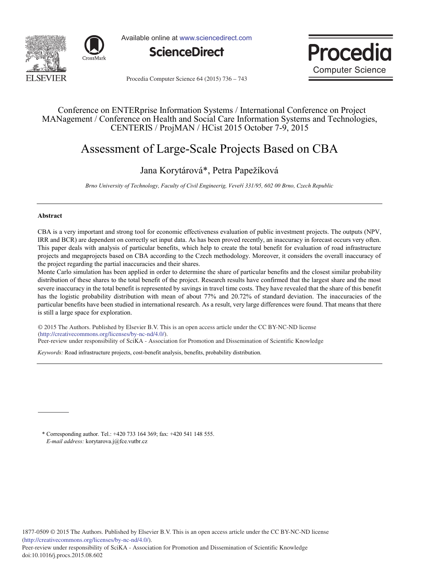



Available online at www.sciencedirect.com





Procedia Computer Science 64 (2015) 736 - 743

### Conference on ENTERprise Information Systems / International Conference on Project MANagement / Conference on Health and Social Care Information Systems and Technologies, CENTERIS / ProjMAN / HCist 2015 October 7-9, 2015

# Assessment of Large-Scale Projects Based on CBA

### Jana Korytárová\*, Petra Papežíková

*Brno University of Technology, Faculty of Civil Engineerig, Veveří 331/95, 602 00 Brno, Czech Republic*

#### **Abstract**

doi: 10.1016/j.procs.2015.08.602

CBA is a very important and strong tool for economic effectiveness evaluation of public investment projects. The outputs (NPV, IRR and BCR) are dependent on correctly set input data. As has been proved recently, an inaccuracy in forecast occurs very often. This paper deals with analysis of particular benefits, which help to create the total benefit for evaluation of road infrastructure projects and megaprojects based on CBA according to the Czech methodology. Moreover, it considers the overall inaccuracy of the project regarding the partial inaccuracies and their shares.

Monte Carlo simulation has been applied in order to determine the share of particular benefits and the closest similar probability distribution of these shares to the total benefit of the project. Research results have confirmed that the largest share and the most severe inaccuracy in the total benefit is represented by savings in travel time costs. They have revealed that the share of this benefit has the logistic probability distribution with mean of about 77% and 20.72% of standard deviation. The inaccuracies of the particular benefits have been studied in international research. As a result, very large differences were found. That means that there is still a large space for exploration.

© 2015 The Authors. Published by Elsevier B.V. © 2015 The Authors. Published by Elsevier B.V. This is an open access article under the CC BY-NC-ND license Peer-review under responsibility of SciKA - Association for Promotion and Dissemination of Scientific Knowledge. Peer-review under responsibility of SciKA - Association for Promotion and Dissemination of Scientific Knowledge(http://creativecommons.org/licenses/by-nc-nd/4.0/).

*Keywords:* Road infrastructure projects, cost-benefit analysis, benefits, probability distribution.

\* Corresponding author. Tel.: +420 733 164 369; fax: +420 541 148 555. *E-mail address:* korytarova.j@fce.vutbr.cz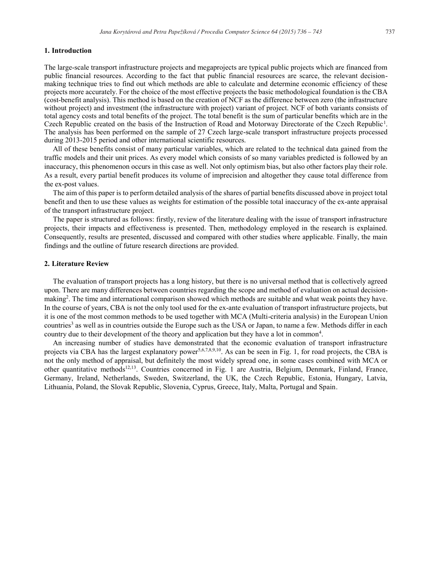#### **1. Introduction**

The large-scale transport infrastructure projects and megaprojects are typical public projects which are financed from public financial resources. According to the fact that public financial resources are scarce, the relevant decisionmaking technique tries to find out which methods are able to calculate and determine economic efficiency of these projects more accurately. For the choice of the most effective projects the basic methodological foundation is the CBA (cost-benefit analysis). This method is based on the creation of NCF as the difference between zero (the infrastructure without project) and investment (the infrastructure with project) variant of project. NCF of both variants consists of total agency costs and total benefits of the project. The total benefit is the sum of particular benefits which are in the Czech Republic created on the basis of the Instruction of Road and Motorway Directorate of the Czech Republic<sup>1</sup>. The analysis has been performed on the sample of 27 Czech large-scale transport infrastructure projects processed during 2013-2015 period and other international scientific resources.

All of these benefits consist of many particular variables, which are related to the technical data gained from the traffic models and their unit prices. As every model which consists of so many variables predicted is followed by an inaccuracy, this phenomenon occurs in this case as well. Not only optimism bias, but also other factors play their role. As a result, every partial benefit produces its volume of imprecision and altogether they cause total difference from the ex-post values.

The aim of this paper is to perform detailed analysis of the shares of partial benefits discussed above in project total benefit and then to use these values as weights for estimation of the possible total inaccuracy of the ex-ante appraisal of the transport infrastructure project.

The paper is structured as follows: firstly, review of the literature dealing with the issue of transport infrastructure projects, their impacts and effectiveness is presented. Then, methodology employed in the research is explained. Consequently, results are presented, discussed and compared with other studies where applicable. Finally, the main findings and the outline of future research directions are provided.

#### **2. Literature Review**

The evaluation of transport projects has a long history, but there is no universal method that is collectively agreed upon. There are many differences between countries regarding the scope and method of evaluation on actual decisionmaking<sup>2</sup>. The time and international comparison showed which methods are suitable and what weak points they have. In the course of years, CBA is not the only tool used for the ex-ante evaluation of transport infrastructure projects, but it is one of the most common methods to be used together with MCA (Multi-criteria analysis) in the European Union countries<sup>3</sup> as well as in countries outside the Europe such as the USA or Japan, to name a few. Methods differ in each country due to their development of the theory and application but they have a lot in common<sup>4</sup>.

An increasing number of studies have demonstrated that the economic evaluation of transport infrastructure projects via CBA has the largest explanatory power<sup>5,6,7,8,9,10</sup>. As can be seen in Fig. 1, for road projects, the CBA is not the only method of appraisal, but definitely the most widely spread one, in some cases combined with MCA or other quantitative methods<sup>12,13</sup>. Countries concerned in Fig. 1 are Austria, Belgium, Denmark, Finland, France, Germany, Ireland, Netherlands, Sweden, Switzerland, the UK, the Czech Republic, Estonia, Hungary, Latvia, Lithuania, Poland, the Slovak Republic, Slovenia, Cyprus, Greece, Italy, Malta, Portugal and Spain.